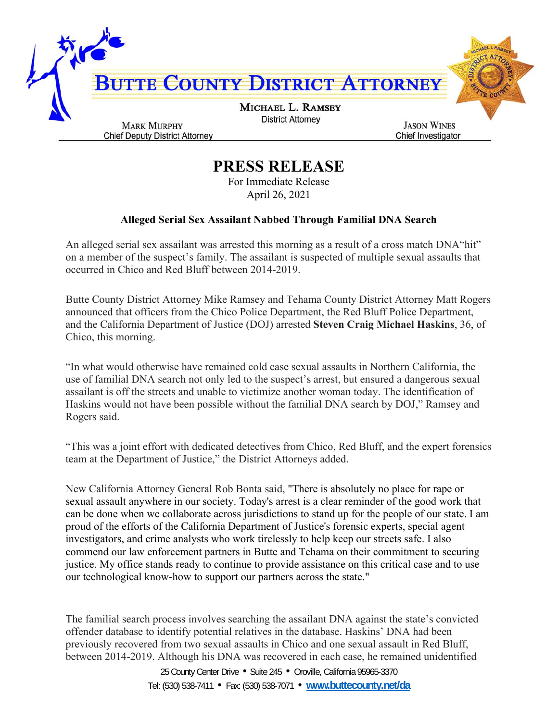

## **PRESS RELEASE**

For Immediate Release April 26, 2021

## **Alleged Serial Sex Assailant Nabbed Through Familial DNA Search**

An alleged serial sex assailant was arrested this morning as a result of a cross match DNA"hit" on a member of the suspect's family. The assailant is suspected of multiple sexual assaults that occurred in Chico and Red Bluff between 2014-2019.

Butte County District Attorney Mike Ramsey and Tehama County District Attorney Matt Rogers announced that officers from the Chico Police Department, the Red Bluff Police Department, and the California Department of Justice (DOJ) arrested **Steven Craig Michael Haskins**, 36, of Chico, this morning.

"In what would otherwise have remained cold case sexual assaults in Northern California, the use of familial DNA search not only led to the suspect's arrest, but ensured a dangerous sexual assailant is off the streets and unable to victimize another woman today. The identification of Haskins would not have been possible without the familial DNA search by DOJ," Ramsey and Rogers said.

"This was a joint effort with dedicated detectives from Chico, Red Bluff, and the expert forensics team at the Department of Justice," the District Attorneys added.

New California Attorney General Rob Bonta said, "There is absolutely no place for rape or sexual assault anywhere in our society. Today's arrest is a clear reminder of the good work that can be done when we collaborate across jurisdictions to stand up for the people of our state. I am proud of the efforts of the California Department of Justice's forensic experts, special agent investigators, and crime analysts who work tirelessly to help keep our streets safe. I also commend our law enforcement partners in Butte and Tehama on their commitment to securing justice. My office stands ready to continue to provide assistance on this critical case and to use our technological know-how to support our partners across the state."

The familial search process involves searching the assailant DNA against the state's convicted offender database to identify potential relatives in the database. Haskins' DNA had been previously recovered from two sexual assaults in Chico and one sexual assault in Red Bluff, between 2014-2019. Although his DNA was recovered in each case, he remained unidentified